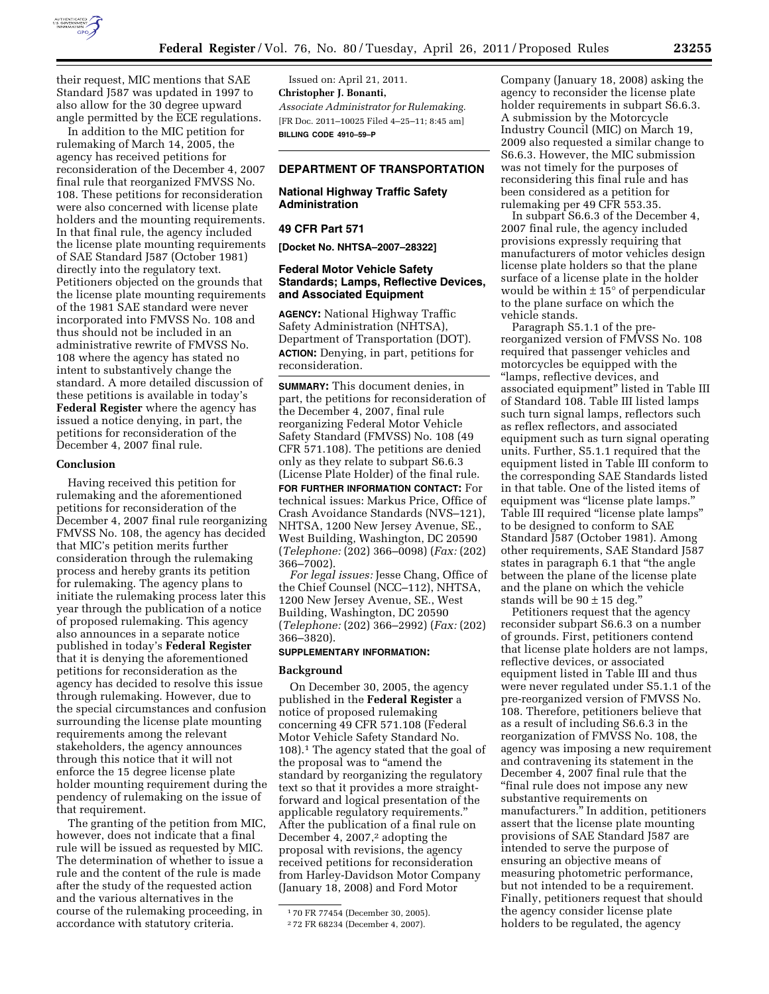

their request, MIC mentions that SAE Standard J587 was updated in 1997 to also allow for the 30 degree upward angle permitted by the ECE regulations.

In addition to the MIC petition for rulemaking of March 14, 2005, the agency has received petitions for reconsideration of the December 4, 2007 final rule that reorganized FMVSS No. 108. These petitions for reconsideration were also concerned with license plate holders and the mounting requirements. In that final rule, the agency included the license plate mounting requirements of SAE Standard J587 (October 1981) directly into the regulatory text. Petitioners objected on the grounds that the license plate mounting requirements of the 1981 SAE standard were never incorporated into FMVSS No. 108 and thus should not be included in an administrative rewrite of FMVSS No. 108 where the agency has stated no intent to substantively change the standard. A more detailed discussion of these petitions is available in today's **Federal Register** where the agency has issued a notice denying, in part, the petitions for reconsideration of the December 4, 2007 final rule.

#### **Conclusion**

Having received this petition for rulemaking and the aforementioned petitions for reconsideration of the December 4, 2007 final rule reorganizing FMVSS No. 108, the agency has decided that MIC's petition merits further consideration through the rulemaking process and hereby grants its petition for rulemaking. The agency plans to initiate the rulemaking process later this year through the publication of a notice of proposed rulemaking. This agency also announces in a separate notice published in today's **Federal Register**  that it is denying the aforementioned petitions for reconsideration as the agency has decided to resolve this issue through rulemaking. However, due to the special circumstances and confusion surrounding the license plate mounting requirements among the relevant stakeholders, the agency announces through this notice that it will not enforce the 15 degree license plate holder mounting requirement during the pendency of rulemaking on the issue of that requirement.

The granting of the petition from MIC, however, does not indicate that a final rule will be issued as requested by MIC. The determination of whether to issue a rule and the content of the rule is made after the study of the requested action and the various alternatives in the course of the rulemaking proceeding, in accordance with statutory criteria.

Issued on: April 21, 2011. **Christopher J. Bonanti,**  *Associate Administrator for Rulemaking.*  [FR Doc. 2011–10025 Filed 4–25–11; 8:45 am] **BILLING CODE 4910–59–P** 

# **DEPARTMENT OF TRANSPORTATION**

# **National Highway Traffic Safety Administration**

#### **49 CFR Part 571**

**[Docket No. NHTSA–2007–28322]** 

### **Federal Motor Vehicle Safety Standards; Lamps, Reflective Devices, and Associated Equipment**

**AGENCY:** National Highway Traffic Safety Administration (NHTSA), Department of Transportation (DOT). **ACTION:** Denying, in part, petitions for reconsideration.

**SUMMARY:** This document denies, in part, the petitions for reconsideration of the December 4, 2007, final rule reorganizing Federal Motor Vehicle Safety Standard (FMVSS) No. 108 (49 CFR 571.108). The petitions are denied only as they relate to subpart S6.6.3 (License Plate Holder) of the final rule.

**FOR FURTHER INFORMATION CONTACT:** For technical issues: Markus Price, Office of Crash Avoidance Standards (NVS–121), NHTSA, 1200 New Jersey Avenue, SE., West Building, Washington, DC 20590 (*Telephone:* (202) 366–0098) (*Fax:* (202) 366–7002).

*For legal issues:* Jesse Chang, Office of the Chief Counsel (NCC–112), NHTSA, 1200 New Jersey Avenue, SE., West Building, Washington, DC 20590 (*Telephone:* (202) 366–2992) (*Fax:* (202) 366–3820).

### **SUPPLEMENTARY INFORMATION:**

### **Background**

On December 30, 2005, the agency published in the **Federal Register** a notice of proposed rulemaking concerning 49 CFR 571.108 (Federal Motor Vehicle Safety Standard No. 108).1 The agency stated that the goal of the proposal was to "amend the standard by reorganizing the regulatory text so that it provides a more straightforward and logical presentation of the applicable regulatory requirements.'' After the publication of a final rule on December 4, 2007, $2$  adopting the proposal with revisions, the agency received petitions for reconsideration from Harley-Davidson Motor Company (January 18, 2008) and Ford Motor

Company (January 18, 2008) asking the agency to reconsider the license plate holder requirements in subpart S6.6.3. A submission by the Motorcycle Industry Council (MIC) on March 19, 2009 also requested a similar change to S6.6.3. However, the MIC submission was not timely for the purposes of reconsidering this final rule and has been considered as a petition for rulemaking per 49 CFR 553.35.

In subpart S6.6.3 of the December 4, 2007 final rule, the agency included provisions expressly requiring that manufacturers of motor vehicles design license plate holders so that the plane surface of a license plate in the holder would be within  $\pm 15^{\circ}$  of perpendicular to the plane surface on which the vehicle stands.

Paragraph S5.1.1 of the prereorganized version of FMVSS No. 108 required that passenger vehicles and motorcycles be equipped with the ''lamps, reflective devices, and associated equipment'' listed in Table III of Standard 108. Table III listed lamps such turn signal lamps, reflectors such as reflex reflectors, and associated equipment such as turn signal operating units. Further, S5.1.1 required that the equipment listed in Table III conform to the corresponding SAE Standards listed in that table. One of the listed items of equipment was "license plate lamps." Table III required "license plate lamps" to be designed to conform to SAE Standard J587 (October 1981). Among other requirements, SAE Standard J587 states in paragraph 6.1 that ''the angle between the plane of the license plate and the plane on which the vehicle stands will be  $90 \pm 15$  deg."

Petitioners request that the agency reconsider subpart S6.6.3 on a number of grounds. First, petitioners contend that license plate holders are not lamps, reflective devices, or associated equipment listed in Table III and thus were never regulated under S5.1.1 of the pre-reorganized version of FMVSS No. 108. Therefore, petitioners believe that as a result of including S6.6.3 in the reorganization of FMVSS No. 108, the agency was imposing a new requirement and contravening its statement in the December 4, 2007 final rule that the ''final rule does not impose any new substantive requirements on manufacturers.'' In addition, petitioners assert that the license plate mounting provisions of SAE Standard J587 are intended to serve the purpose of ensuring an objective means of measuring photometric performance, but not intended to be a requirement. Finally, petitioners request that should the agency consider license plate holders to be regulated, the agency

<sup>1</sup> 70 FR 77454 (December 30, 2005).

<sup>2</sup> 72 FR 68234 (December 4, 2007).